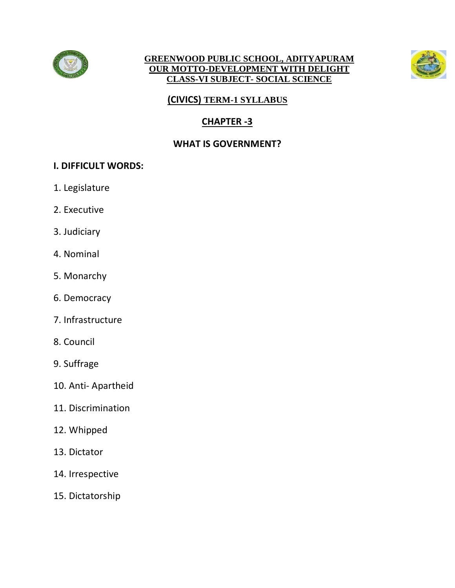

#### **GREENWOOD PUBLIC SCHOOL, ADITYAPURAM OUR MOTTO-DEVELOPMENT WITH DELIGHT CLASS-VI SUBJECT- SOCIAL SCIENCE**



## **(CIVICS) TERM-1 SYLLABUS**

# **CHAPTER -3**

## **WHAT IS GOVERNMENT?**

## **I. DIFFICULT WORDS:**

- 1. Legislature
- 2. Executive
- 3. Judiciary
- 4. Nominal
- 5. Monarchy
- 6. Democracy
- 7. Infrastructure
- 8. Council
- 9. Suffrage
- 10. Anti- Apartheid
- 11. Discrimination
- 12. Whipped
- 13. Dictator
- 14. Irrespective
- 15. Dictatorship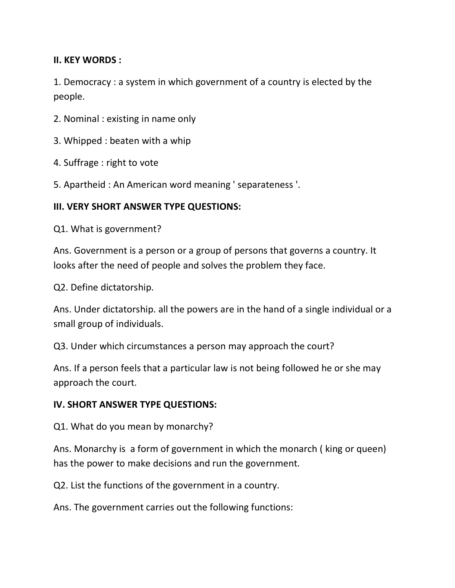#### **II. KEY WORDS :**

1. Democracy : a system in which government of a country is elected by the people.

- 2. Nominal : existing in name only
- 3. Whipped : beaten with a whip
- 4. Suffrage : right to vote
- 5. Apartheid : An American word meaning ' separateness '.

#### **III. VERY SHORT ANSWER TYPE QUESTIONS:**

Q1. What is government?

Ans. Government is a person or a group of persons that governs a country. It looks after the need of people and solves the problem they face.

Q2. Define dictatorship.

Ans. Under dictatorship. all the powers are in the hand of a single individual or a small group of individuals.

Q3. Under which circumstances a person may approach the court?

Ans. If a person feels that a particular law is not being followed he or she may approach the court.

#### **IV. SHORT ANSWER TYPE QUESTIONS:**

Q1. What do you mean by monarchy?

Ans. Monarchy is a form of government in which the monarch ( king or queen) has the power to make decisions and run the government.

Q2. List the functions of the government in a country.

Ans. The government carries out the following functions: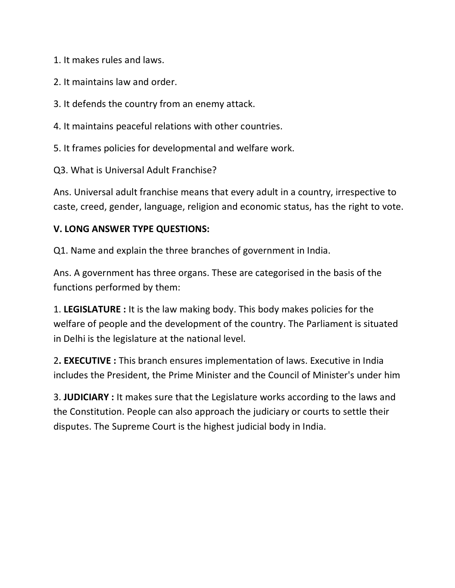1. It makes rules and laws.

- 2. It maintains law and order.
- 3. It defends the country from an enemy attack.
- 4. It maintains peaceful relations with other countries.
- 5. It frames policies for developmental and welfare work.

Q3. What is Universal Adult Franchise?

Ans. Universal adult franchise means that every adult in a country, irrespective to caste, creed, gender, language, religion and economic status, has the right to vote.

### **V. LONG ANSWER TYPE QUESTIONS:**

Q1. Name and explain the three branches of government in India.

Ans. A government has three organs. These are categorised in the basis of the functions performed by them:

1. **LEGISLATURE :** It is the law making body. This body makes policies for the welfare of people and the development of the country. The Parliament is situated in Delhi is the legislature at the national level.

2**. EXECUTIVE :** This branch ensures implementation of laws. Executive in India includes the President, the Prime Minister and the Council of Minister's under him

3. **JUDICIARY :** It makes sure that the Legislature works according to the laws and the Constitution. People can also approach the judiciary or courts to settle their disputes. The Supreme Court is the highest judicial body in India.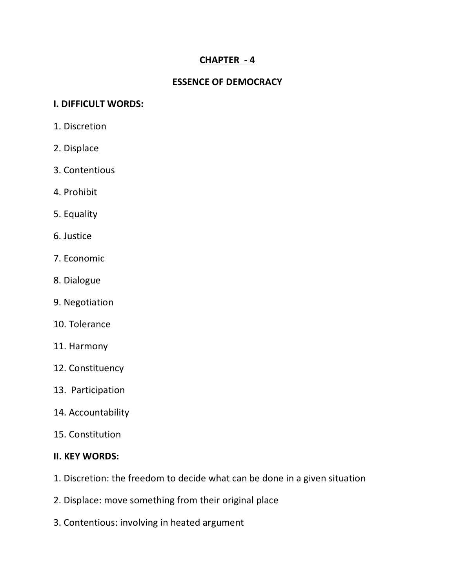## **CHAPTER - 4**

### **ESSENCE OF DEMOCRACY**

#### **I. DIFFICULT WORDS:**

- 1. Discretion
- 2. Displace
- 3. Contentious
- 4. Prohibit
- 5. Equality
- 6. Justice
- 7. Economic
- 8. Dialogue
- 9. Negotiation
- 10. Tolerance
- 11. Harmony
- 12. Constituency
- 13. Participation
- 14. Accountability
- 15. Constitution

#### **II. KEY WORDS:**

- 1. Discretion: the freedom to decide what can be done in a given situation
- 2. Displace: move something from their original place
- 3. Contentious: involving in heated argument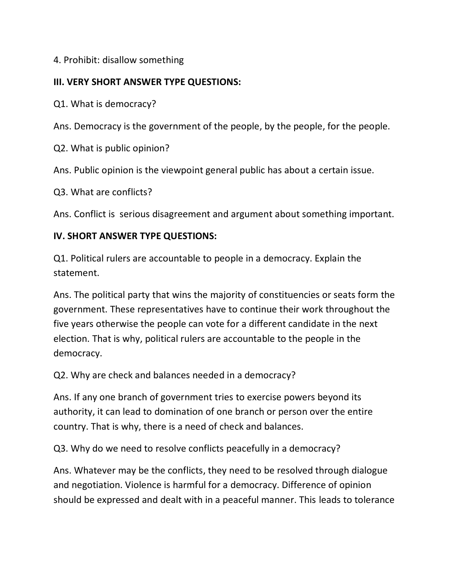## 4. Prohibit: disallow something

## **III. VERY SHORT ANSWER TYPE QUESTIONS:**

Q1. What is democracy?

Ans. Democracy is the government of the people, by the people, for the people.

Q2. What is public opinion?

Ans. Public opinion is the viewpoint general public has about a certain issue.

Q3. What are conflicts?

Ans. Conflict is serious disagreement and argument about something important.

### **IV. SHORT ANSWER TYPE QUESTIONS:**

Q1. Political rulers are accountable to people in a democracy. Explain the statement.

Ans. The political party that wins the majority of constituencies or seats form the government. These representatives have to continue their work throughout the five years otherwise the people can vote for a different candidate in the next election. That is why, political rulers are accountable to the people in the democracy.

Q2. Why are check and balances needed in a democracy?

Ans. If any one branch of government tries to exercise powers beyond its authority, it can lead to domination of one branch or person over the entire country. That is why, there is a need of check and balances.

Q3. Why do we need to resolve conflicts peacefully in a democracy?

Ans. Whatever may be the conflicts, they need to be resolved through dialogue and negotiation. Violence is harmful for a democracy. Difference of opinion should be expressed and dealt with in a peaceful manner. This leads to tolerance